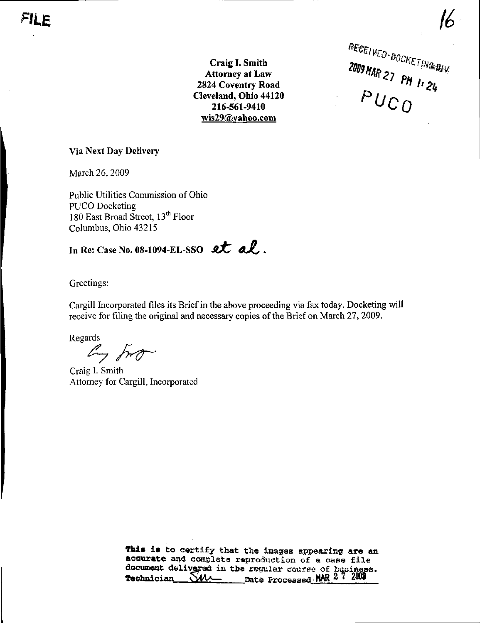<sup>TYED-</sup>BOCKETING  $PUCO$ 

/ ^

Craig I. Smith Attorney at Law 2824 Coventry Road Cleveland, Ohio 44120 216-561-9410 [wis29@Yahoo.com](mailto:wis29@Yahoo.com) 

#### Via Next Day Delivery

March 26, 2009

Public Utilities Commission of Ohio PUCO Docketing 180 East Broad Street,  $13<sup>th</sup>$  Floor Columbus, Ohio 43215

# In Re: Case No. 08-1094-EL-SSO  $et$   $d$ .

Greetings:

Cargill Incorporated files its Brief in the above proceeding via fax today. Docketing will receive for filing the original and necessary copies of the Brief on March 27, 2009.

Regards

 $\mathbb{Z}$  fro

Craig I. Smith Attorney for Cargill, Incorporated

This is to certify that the images appearing are an accurate and complete reproduction of a case file document delivered in tha regular course of business. Technician  $\bigcirc$ *MA* nate Processed MAR 2 7 2008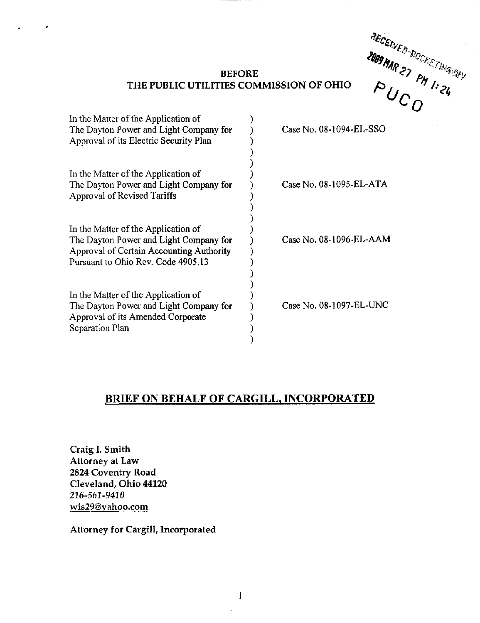"ECENVES.  $\sim$  0

# BEFORE THE PUBLIC UTILITIES COMMISSION OF OHIO

| In the Matter of the Application of<br>The Dayton Power and Light Company for<br>Approval of its Electric Security Plan                                         | Case No. 08-1094-EL-SSO |
|-----------------------------------------------------------------------------------------------------------------------------------------------------------------|-------------------------|
| In the Matter of the Application of<br>The Dayton Power and Light Company for<br><b>Approval of Revised Tariffs</b>                                             | Case No. 08-1095-EL-ATA |
| In the Matter of the Application of<br>The Dayton Power and Light Company for<br>Approval of Certain Accounting Authority<br>Pursuant to Ohio Rev. Code 4905.13 | Case No. 08-1096-EL-AAM |
| In the Matter of the Application of<br>The Dayton Power and Light Company for<br>Approval of its Amended Corporate<br>Separation Plan                           | Case No. 08-1097-EL-UNC |

# BRIEF ON BEHALF OF CARGILL, INCORPORATED

Craig I. Smith Attorney at Law 2824 Coventry Road Cleveland, Ohio 44120 216-561-9410 [wis29@yahoo.com](mailto:wis29@yahoo.com) 

 $\mathcal{O}(\mathbb{R}^2)$ 

Attorney for Cargill, Incorporated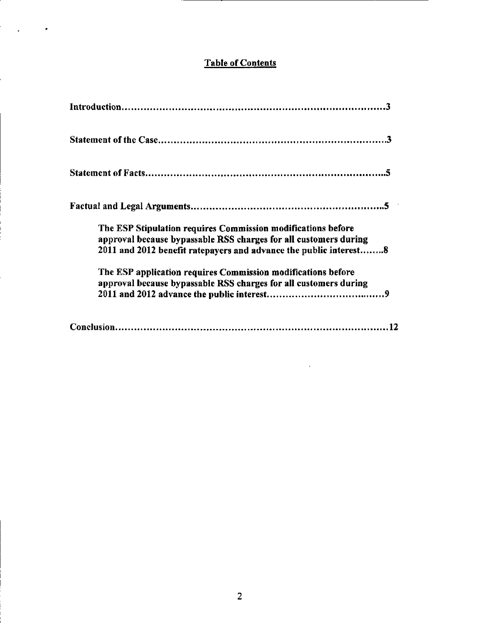# Table of Contents

 $\mathcal{L}_{\text{max}}$ 

| The ESP Stipulation requires Commission modifications before<br>approval because bypassable RSS charges for all customers during<br>2011 and 2012 benefit ratepayers and advance the public interest8 |
|-------------------------------------------------------------------------------------------------------------------------------------------------------------------------------------------------------|
| The ESP application requires Commission modifications before<br>approval because bypassable RSS charges for all customers during                                                                      |
|                                                                                                                                                                                                       |

 $\hat{\mathbf{r}}$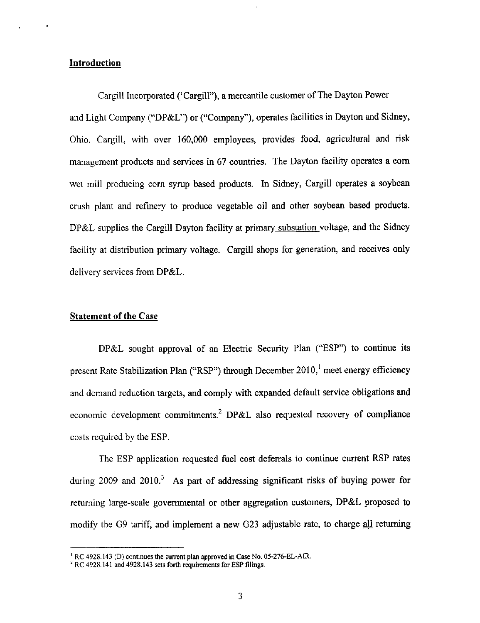#### Introduction

Cargill Incorporated ('Cargill"), a mercantile customer of The Dayton Power and Light Company ("DP&L") or ("Company"), operates facilities in Dayton and Sidney, Ohio. Cargill, with over 160,000 employees, provides food, agricultural and risk management products and services in 67 countries. The Dayton facility operates a com wet mill producing com syrup based products. In Sidney, Cargill operates a soybean crush plant and refinery to produce vegetable oil and other soybean based products. DP&L supplies the Cargill Dayton facility at primary substation voltage, and the Sidney facility at distribution primary voltage. Cargill shops for generation, and receives only delivery services from DP&L.

### Statement of the Case

DP&L sought approval of an Electric Security Plan ("ESP") to continue its present Rate Stabilization Plan ("RSP") through December 2010,' meet energy efficiency and demand reduction targets, and comply with expanded default service obligations and economic development commitments.<sup>2</sup> DP&L also requested recovery of compliance costs required by the ESP.

The ESP application requested fuel cost deferrals to continue current RSP rates during 2009 and  $2010<sup>3</sup>$ . As part of addressing significant risks of buying power for returning large-scale governmental or other aggregation customers, DP&L proposed to modify the G9 tariff, and implement a new G23 adjustable rate, to charge all returning

 $R$ <sup>t</sup> RC 4928.143 (D) continues the current plan approved in Case No. 05-276-EL-AIR.

 $2 RC$  4928.141 and 4928.143 sets forth requirements for ESP filings.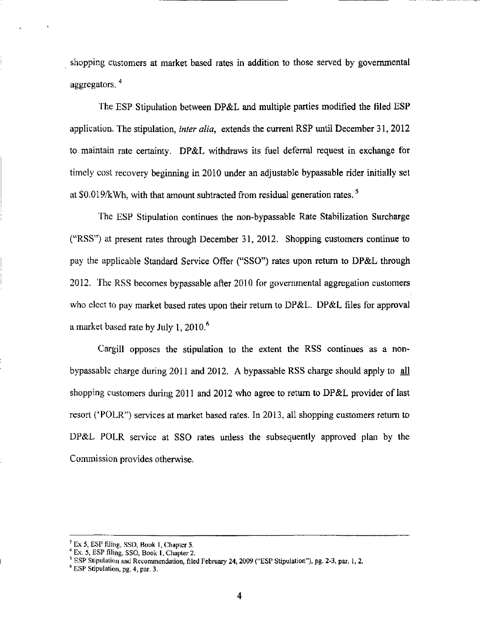shopping customers at market based rates in addition to those served by governmental aggregators.<sup>4</sup>

The ESP Stipulation between DP&L and multiple parties modified the filed ESP application. The stipulation, *inter alia*, extends the current RSP until December 31, 2012 to maintain rate certainty. DP&L withdraws its fuel deferral request in exchange for timely cost recovery beginning in 2010 under an adjustable bypassable rider initially set at  $$0.019/kWh$ , with that amount subtracted from residual generation rates.<sup>5</sup>

The ESP Stipulation continues the non-bypassable Rate Stabilization Surcharge ("RSS") at present rates through December 31, 2012. Shopping customers continue to pay the applicable Standard Service Offer ("SSO") rates upon return to DP&L through 2012. The RSS becomes bypassable after 2010 for governmental aggregation customers who elect to pay market based rates upon their return to DP&L. DP&L files for approval a market based rate by July 1, 2010.<sup>6</sup>

Cargill opposes the stipulation to the extent the RSS continues as a nonbypassable charge during 2011 and 2012. A bypassable RSS charge should apply to  $all$ shopping customers during 2011 and 2012 who agree to return to DP&L provider of last resort ('POLR") services at market based rates. In 2013, all shopping customers return to DP&L POLR service at SSO rates unless the subsequently approved plan by the Commission provides otherwise.

 $^3$  Ex 5, ESP filing, SSO, Book 1, Chapter 5.

 $4$  Ex. 5, ESP filing, SSO, Book 1, Chapter 2.

 $^5$  ESP Stipulation and Recommendation, filed February 24, 2009 ("ESP Stipulation"), pg. 2-3, par. 1, 2.

<sup>^</sup> ESP Stipulation, pg. 4, par. 3.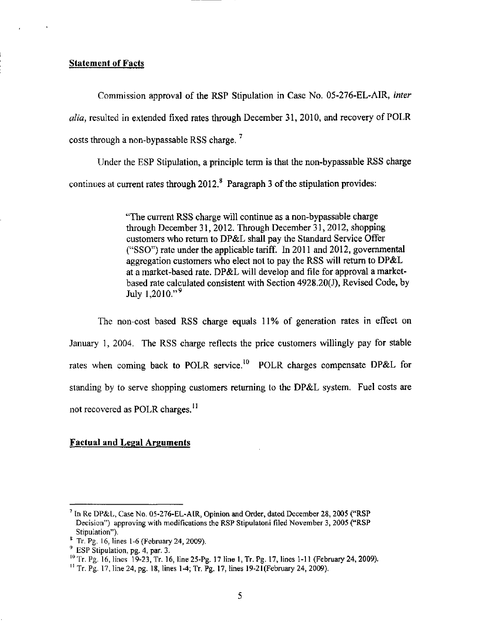#### Statement of Facts

Commission approval of the RSP Stipulation in Case No. 05-276-EL-AIR, inter alia, resulted in extended fixed rates through December 31, 2010, and recovery of POLR costs through a non-bypassable RSS charge.  $^7$ 

Under the ESP Stipulation, a principle term is that the non-bypassable RSS charge continues at current rates through  $2012 <sup>8</sup>$  Paragraph 3 of the stipulation provides:

> "The current RSS charge will continue as a non-bypassable charge through December 31, 2012. Through December 31, 2012, shopping customers who retum to DP&L shall pay the Standard Service Offer ("SSO") rate under the applicable tariff. In 2011 and 2012, governmental aggregation customers who elect not to pay the RSS will retum to DP&L at a market-based rate. DP&L will develop and file for approval a marketbased rate calculated consistent with Section 4928.20(J), Revised Code, by July  $1,2010.^{9}$ .

The non-cost based RSS charge equals 11% of generation rates in effect on January 1, 2004. The RSS charge reflects the price customers willingly pay for stable rates when coming back to POLR service.<sup>10</sup> POLR charges compensate DP&L for standing by to serve shopping customers retuming to the DP&L system. Fuel costs are not recovered as POLR charges.<sup>11</sup>

# Factual and Legal Arguments

<sup>&</sup>lt;sup>7</sup> In Re DP&L, Case No. 05-276-EL-AIR, Opinion and Order, dated December 28, 2005 ("RSP Decision") approving with modifications the RSP Stipulatoni filed November 3, 2005 ("RSP Stipulation").

<sup>&#</sup>x27; Tr. Pg. 16, lines 1-6 (February 24, 2009).

<sup>&</sup>lt;sup>9</sup> ESP Stipulation, pg. 4, par. 3.

 $^{10}$  Tr. Pg. 16, lines 19-23, Tr. 16, line 25-Pg. 17 line 1, Tr. Pg. 17, lines 1-11 (February 24, 2009).

 $^{11}$  Tr. Pg. 17, line 24, pg. 18, lines 1-4; Tr. Pg. 17, lines 19-21(February 24, 2009).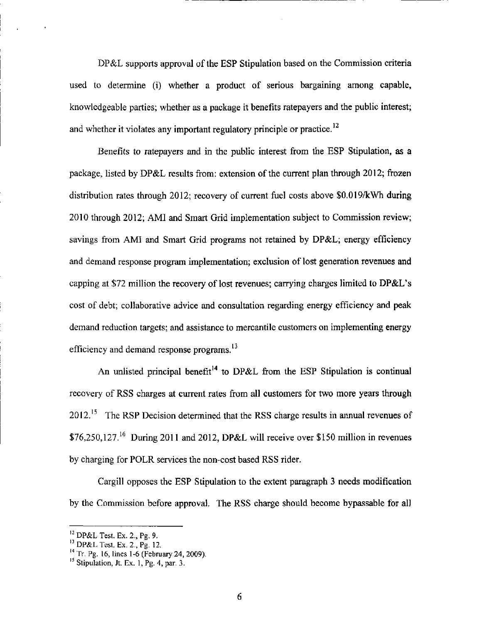DP&L supports approval of the ESP Stipulation based on the Commission criteria used to determine (i) whether a product of serious bargaining among capable, knowledgeable parties; whether as a package it benefits ratepayers and the public interest; and whether it violates any important regulatory principle or practice.<sup>12</sup>

Benefits to ratepayers and in the public interest from the ESP Stipulation, as a package, listed by DP&L results from: extension of the current plan through 2012; frozen distribution rates through 2012; recovery of current fuel costs above S0.019/kWh during 2010 through 2012; AMI and Smart Grid implementation subject to Commission review; savings from AMI and Smart Grid programs not retained by DP&L; energy efficiency and demand response program implementation; exclusion of lost generation revenues and capping at \$72 million the recovery of lost revenues; carrying charges limited to DP&L's cost of debt; collaborative advice and consultation regarding energy efficiency and peak demand reduction targets; and assistance to mercantile customers on implementing energy efficiency and demand response programs. $^{13}$ 

An unlisted principal benefit<sup>14</sup> to DP&L from the ESP Stipulation is continual recovery of RSS charges at current rates from all customers for two more years through  $2012<sup>15</sup>$  The RSP Decision determined that the RSS charge results in annual revenues of  $$76,250,127<sup>16</sup>$  During 2011 and 2012, DP&L will receive over \$150 million in revenues by charging for POLR services the non-cost based RSS rider.

Cargill opposes the ESP Stipulation to the extent paragraph 3 needs modification by the Commission before approval. The RSS charge should become bypassable for all

 $\frac{12}{12}$  DP&L Test. Ex. 2., Pg. 9.

<sup>&#</sup>x27;^ DP&L Test. Ex. 2., Pg. 12.

<sup>&</sup>lt;sup>14</sup> Tr. Pg. 16, lines 1-6 (February 24, 2009).

Stipulation, Jt. Ex. 1, Pg. 4, par. 3.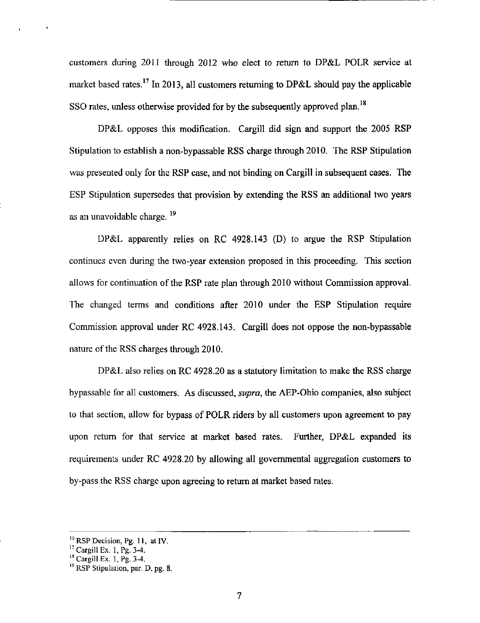customers during 2011 through 2012 who elect to return to DP&L POLR service at market based rates.<sup>17</sup> In 2013, all customers returning to DP&L should pay the applicable SSO rates, unless otherwise provided for by the subsequently approved plan.<sup>18</sup>

DP&L opposes this modification. Cargill did sign and support the 2005 RSP Stipulation to establish a non-bypassable RSS charge through 2010. The RSP Stipulation was presented only for the RSP case, and not binding on Cargill in subsequent cases. The ESP Stipulation supersedes that provision by extending the RSS an additional two years as an unavoidable charge.  $^{19}$ 

DP&L apparently relies on RC 4928.143 (D) to argue the RSP Stipulation continues even during the two-year extension proposed in this proceeding. This section allows for continuation of the RSP rate plan through 2010 without Commission approval. The changed terms and conditions after 2010 under the ESP Stipulation require Commission approval under RC 4928.143. Cargill does not oppose the non-bypassable nature of the RSS charges through 2010,

DP&L also relies on RC 4928.20 as a statutory limitation to make the RSS charge bypassable for all customers. As discussed, *supra*, the AEP-Ohio companies, also subject to that section, allow for bypass of POLR riders by all customers upon agreement to pay upon retum for that service at market based rates. Further, DP&L expanded its requirements under RC 4928.20 by allowing all governmental aggregation customers to by-pass the RSS charge upon agreeing to retum at market based rates.

 $^{16}$  RSP Decision, Pg. 11, at IV.

 $^{17}$  Cargill Ex. 1, Pg. 3-4.

 $^{18}$  Cargill Ex. 1, Pg. 3-4.

<sup>&</sup>lt;sup>19</sup> RSP Stipulation, par. D, pg. 8.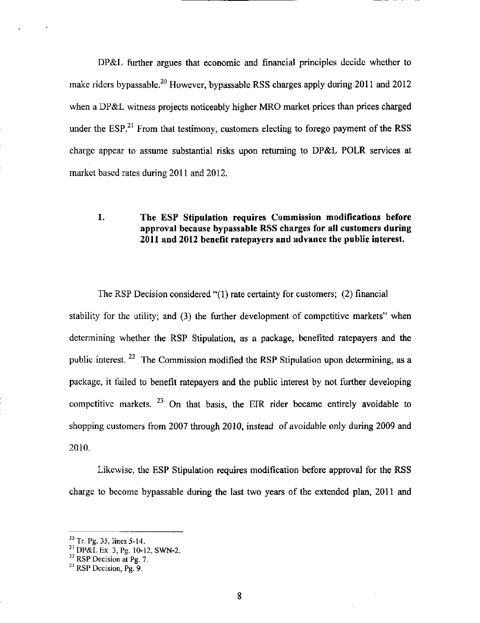DP&L further argues that economic and financial principles decide whether to make riders bypassable.<sup>20</sup> However, bypassable RSS charges apply during 2011 and 2012 when a DP&L witness projects noticeably higher MRO market prices than prices charged under the  $ESP<sup>21</sup>$  From that testimony, customers electing to forego payment of the RSS charge appear to assume substantial risks upon retuming to DP&L POLR services at market based rates during 2011 and 2012.

# 1. The ESP Stipulation requires Commission modifications before approval because bypassable RSS charges for all customers during 2011 and 2012 benefit ratepayers and advance the public interest.

The RSP Decision considered "(1) rate certainty for customers; (2) financial stability for the utility; and (3) the further development of competitive markets" when determining whether the RSP Stipulation, as a package, benefited ratepayers and the public interest.  $^{22}$  The Commission modified the RSP Stipulation upon determining, as a package, it failed to benefit ratepayers and the public interest by not further developing competitive markets.  $^{23}$  On that basis, the EIR rider became entirely avoidable to shopping customers from 2007 through 2010, instead of avoidable only during 2009 and 2010.

Likewise, the ESP Stipulation requires modification before approval for the RSS charge to become bypassable during the last two years of the extended plan, 2011 and

 $^{20}$  Tr. Pg. 35, lines 5-14.

<sup>^&#</sup>x27; DP&L Ex. 3, Pg. 10-12, SWN-2.

 $^{22}$  RSP Decision at Pg. 7.

 $^{23}$  RSP Decision, Pg. 9.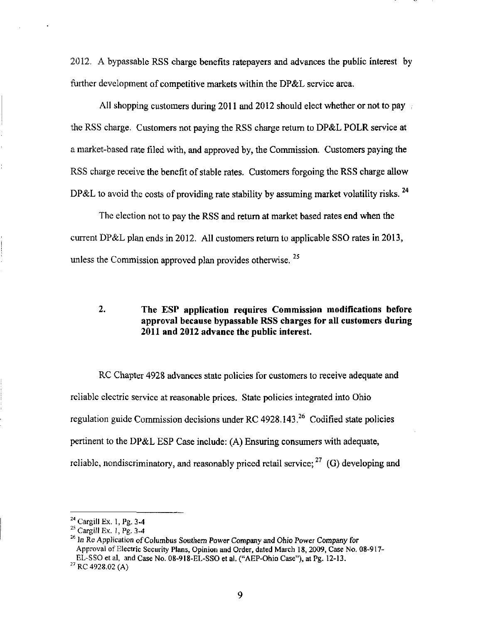2012. A bypassable RSS charge benefits ratepayers and advances the public interest by further development of competitive markets within the DP&L service area.

All shopping customers during 2011 and 2012 should elect whether or not to pay the RSS charge. Customers not paying the RSS charge retum to DP&L POLR service at a market-based rate filed with, and approved by, the Commission. Customers paying the RSS charge receive the benefit of stable rates. Customers forgoing the RSS charge allow DP&L to avoid the costs of providing rate stability by assuming market volatility risks.  $^{24}$ 

The election not to pay the RSS and retum at market based rates end when the current DP&L plan ends in 2012. All customers retum to applicable SSO rates in 2013, unless the Commission approved plan provides otherwise.  $^{25}$ 

# 2. The ESP application requires Commission modifications before approval because bypassable RSS charges for all customers during 2011 and 2012 advance the public interest.

RC Chapter 4928 advances state policies for customers to receive adequate and reliable electric service at reasonable prices. State policies integrated into Ohio regulation guide Commission decisions under RC 4928.143. $^{26}$  Codified state policies pertinent to the DP&L ESP Case include: (A) Ensuring consumers with adequate, reliable, nondiscriminatory, and reasonably priced retail service;  $^{27}$  (G) developing and

 $^{24}$  Cargill Ex. 1, Pg. 3-4

 $^{25}$  Cargill Ex. 1, Pg. 3-4

 $^{26}$  In Re Application of Columbus Southern Power Company and Ohio Power Company for Approval of Electric Security Plans, Opinion and Order, dated March 18,2009, Case No. 08-917- EL-SSO et al, and Case No. 08-918-EL-SSO et al. ("AEP-Ohio Case"), at Pg. 12-13.

 $^{27}$  RC 4928.02 (A)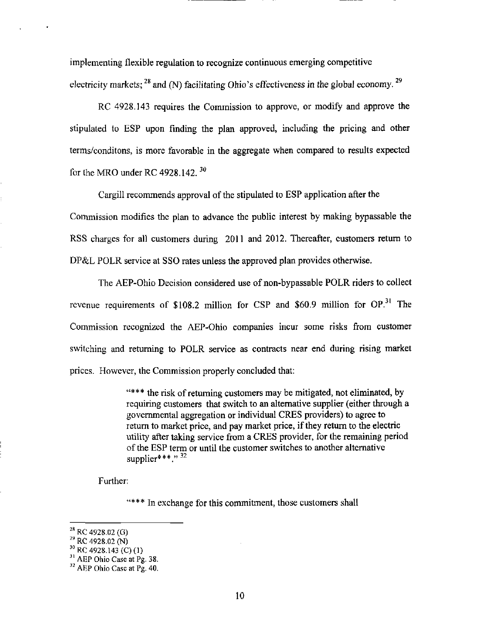implementing flexible regulation to recognize continuous emerging competitive electricity markets;  $^{28}$  and (N) facilitating Ohio's effectiveness in the global economy.  $^{29}$ 

RC 4928.143 requires the Commission to approve, or modify and approve the stipulated to ESP upon finding the plan approved, including the pricing and other terms/conditons, is more favorable in the aggregate when compared to results expected for the MRO under RC 4928.142.  $30$ 

Cargill recommends approval of the stipulated to ESP application after the Commission modifies the plan to advance the public interest by making bypassable the RSS charges for all customers during 2011 and 2012. Thereafter, customers return to DP&L POLR service at SSO rates unless the approved plan provides otherwise.

The AEP-Ohio Decision considered use of non-bypassable POLR riders to collect revenue requirements of  $$108.2$  million for CSP and  $$60.9$  million for OP.<sup>31</sup> The Commission recognized the AEP-Ohio companies incur some risks from customer switching and retuming to POLR service as contracts near end during rising market prices. However, the Commission properly concluded that:

> "\*\*\* the risk of retuming customers may be mitigated, not eliminated, by requiring customers that switch to an altemative supplier (either through a governmental aggregation or individual CRES providers) to agree to return to market price, and pay market price, if they retum to the electric utility after taking service from a CRES provider, for the remaining period of the ESP term or until the customer switches to another altemative supplier\*\*\*."  $^{32}$

Further:

"\*\*\* In exchange for this commitment, those customers shall

 $^{30}$  RC 4928.143 (C)(1)

<sup>&</sup>lt;sup>28</sup> RC 4928.02 (G)

<sup>29</sup>  RC 4928.02 (N)

 $^{31}$  AEP Ohio Case at Pg. 38.

 $\rm^{32}$  AEP Ohio Case at Pg. 40.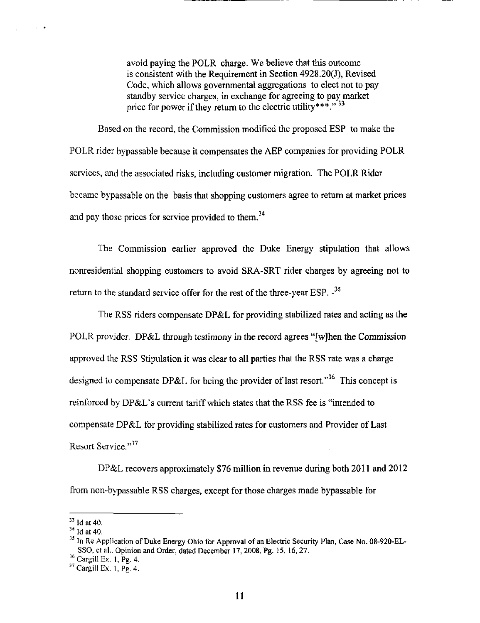avoid paying the POLR charge. We believe that this outcome is consistent with the Requirement in Section 4928.20(J), Revised Code, which allows governmental aggregations to elect not to pay standby service charges, in exchange for agreeing to pay market price for power if they return to the electric utility\*\*\*."  $^{33}$ 

Based on the record, the Commission modified the proposed ESP to make the POLR rider bypassable because it compensates the AEP companies for providing POLR services, and the associated risks, including customer migration. The POLR Rider became bypassable on the basis that shopping customers agree to retum at market prices and pay those prices for service provided to them.<sup>34</sup>

The Commission earlier approved the Duke Energy stipulation that allows nonresidential shopping customers to avoid SRA-SRT rider charges by agreeing not to return to the standard service offer for the rest of the three-year ESP.  $-$ <sup>35</sup>

The RSS riders compensate DP&L for providing stabilized rates and acting as the POLR provider. DP&L through testimony in the record agrees "[wjhen the Commission approved the RSS Stipulation it was clear to all parties that the RSS rate was a charge designed to compensate DP&L for being the provider of last resort."<sup>36</sup> This concept is reinforced by DP&L's current tariff which states that the RSS fee is "intended to compensate DP&L for providing stabilized rates for customers and Provider of Last Resort Service."<sup>37</sup>

DP&L recovers approximately \$76 million in revenue during both 2011 and 2012 from non-bypassable RSS charges, except for those charges made bypassable for

 $\sim$   $\sim$ 

 $33$  Id at 40.

 $^{34}$  Id at 40.

<sup>&</sup>lt;sup>35</sup> In Re Application of Duke Energy Ohio for Approval of an Electric Security Plan, Case No. 08-920-EL-SSO, et al., Opinion and Order, dated December 17, 2008, Pg. 15, 16, 27.

 $^{36}$  Cargill Ex. 1, Pg. 4.

 $37$  Cargill Ex. 1, Pg. 4.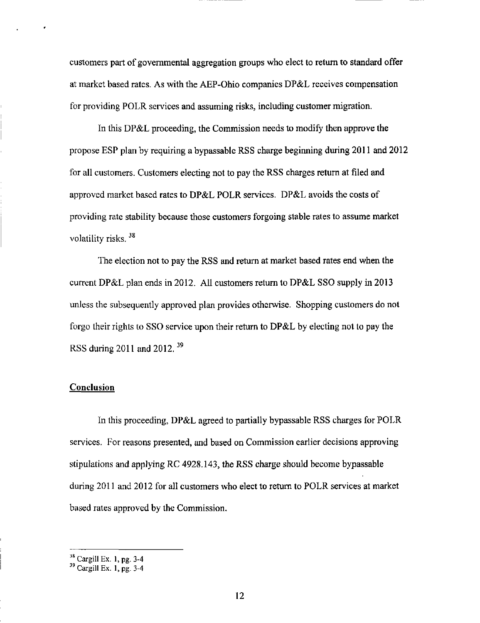customers part of governmental aggregation groups who elect to retum to standard offer at market based rates. As with the AEP-Ohio companies DP&L receives compensation for providing POLR services and assuming risks, including customer migration.

In this DP&L proceeding, the Commission needs to modify then approve the propose ESP plan by requiring a bypassable RSS charge beginning during 2011 and 2012 for all customers. Customers electing not to pay the RSS charges retum at filed and approved market based rates to DP&L POLR services. DP&L avoids the costs of providing rate stability because those customers forgoing stable rates to assume market volatility risks.  $38$ 

The election not to pay the RSS and retum at market based rates end when the current DP&L plan ends in 2012. All customers retum to DP&L SSO supply in 2013 unless the subsequently approved plan provides otherwise. Shopping customers do not forgo their rights to SSO service upon their return to  $DP&L$  by electing not to pay the RSS during 2011 and 2012.  $^{39}$ 

### **Conclusion**

In this proceeding, DP&L agreed to partially bypassable RSS charges for POLR services. For reasons presented, and based on Commission earlier decisions approving stipulations and applying RC 4928.143, the RSS charge should become bypassable during 2011 and 2012 for all customers who elect to retum to POLR services at market based rates approved by the Commission.

 $^{38}$  Cargill Ex. 1, pg. 3-4

 $^{39}$  Cargill Ex. 1, pg. 3-4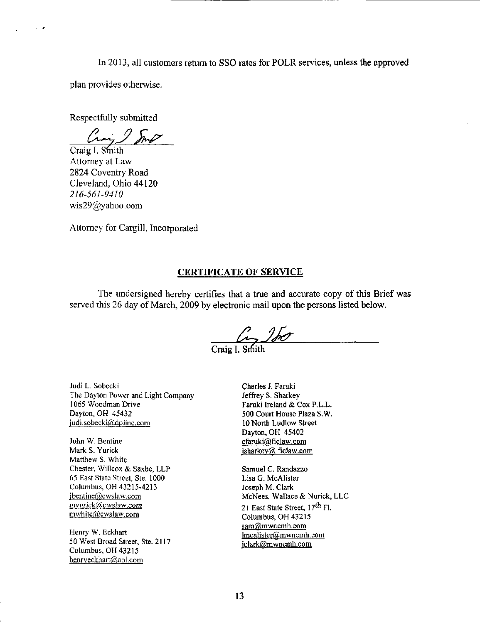In 2013, all customers retum to SSO rates for POLR services, unless the approved plan provides otherwise.

Respectfully submitted

 $\sim$   $\alpha$ 

Craig I. Smith

Attorney at Law 2824 Coventry Road Cleveland, Ohio 44120 216-561-9410 [wis29@yahoo.com](mailto:wis29@yahoo.com) 

Attorney for Cargill, Incorporated

# CERTIFICATE OF SERVICE

The undersigned hereby certifies that a tme and accurate copy of this Brief was served this 26 day of March, 2009 by electronic mail upon the persons listed below.

 $\frac{\sqrt{2}}{\text{Craig I. Smith}}$ 

Judi L. Sobecki The Dayton Power and Light Company 1065 Woodman Drive Dayton, OH 45432 [iudi.sobecki@dplinc.com](mailto:iudi.sobecki@dplinc.com) 

John W. Bentine Mark S. Yurick Matthew S. White Chester, Willcox & Saxbe, LLP 65 East State Street, Ste. 1000 Columbus, OH 43215-4213 [jbentine@cwslaw.com](mailto:jbentine@cwslaw.com)  [mvurick@cwslaw.com](mailto:mvurick@cwslaw.com)  [mwhite@cwslaw.com](mailto:mwhite@cwslaw.com) 

Henry W. Eckhart 50 West Broad Street, Ste. 2117 Columbus, OH 43215 [henrveckhart@aol.com](mailto:henrveckhart@aol.com) 

Charles J. Faruki Jeffrey S. Sharkey Faruki Ireland & Cox P.L.L. 500 Court House Plaza S.W. 10 North Ludlow Street Dayton, OH 45402 cfaruki@ficlaw.com jsharkey@ ficlaw.com

Samuel C. Randazzo Lisa G. McAlister Joseph M. Clark McNees, Wallace & Nurick, LLC 21 East State Street, 17<sup>th</sup> Fl. Columbus. OH 43215 sam@mwncmh.com lmcalister@.mwncmh.com [iclark@mwncmh.com](mailto:iclark@mwncmh.com)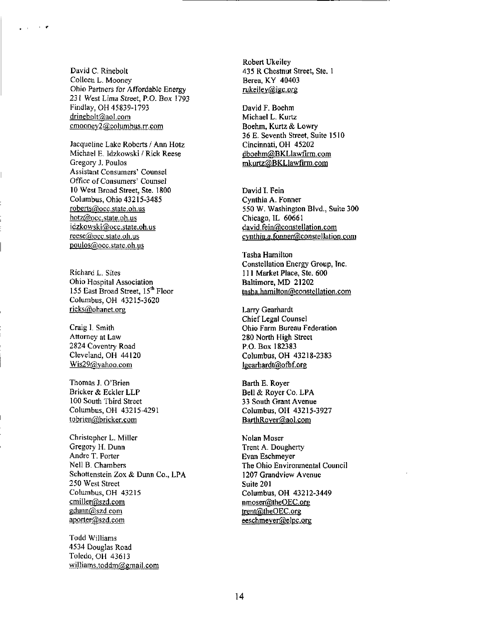David C. Rinebolt Colleen L. Mooney Ohio Partners for Affordable Energy 231 West Lima Street, P.O. Box 1793 Findlay, OH 45839-1793 drinebolt@,aol.com cmooney2@columbus.rr.com

 $\sim$ 

Jacqueline Lake Roberts / Ann Hotz Michael E. Idzkowski / Rick Reese Gregory J. Poulos Assistant Consumers' Counsel Office of Consumers' Counsel 10 West Broad Street, Ste. 1800 Columbus, Ohio 43215-3485 [roberts@occ.state.oh.us](mailto:roberts@occ.state.oh.us)  [hotz@occ.state.oh.us](mailto:hotz@occ.state.oh.us)  [idzkowski@occ.state.oh.us](mailto:idzkowski@occ.state.oh.us)  reese@occ.state.oh.us [poulos@occ.state.oh.us](mailto:poulos@occ.state.oh.us) 

155 East Broad Street, 15<sup>th</sup> Floor Richard L. Sites Ohio Hospital Association Columbus, OH 43215-3620 [ricks@ohanet.org](mailto:ricks@ohanet.org) 

Craig I. Smith Attorney at Law 2824 Coventry Road Cleveland, OH 44120  $Wis29(a)$ yahoo.com

Thomas J. O'Brien Bricker & Eckler LLP 100 South Third Street Columbus, OH 43215-4291 [tobrien@bricker.com](mailto:tobrien@bricker.com) 

Christopher L. Miller Gregory H. Dunn Andre T. Porter Nell B. Chambers Schottenstein Zox & Dunn Co., LPA 250 West Street Columbus, OH 43215 [cmiller@szd.com](mailto:cmiller@szd.com)  gdunn@szd.com [aporter@szd.com](mailto:aporter@szd.com) 

Todd Williams 4534 Douglas Road Toledo, OH 43613 [williams.toddm@gmail.com](mailto:williams.toddm@gmail.com)  Robert Ukeiley 435 R Chestnut Street, Ste. 1 Berea, KY 40403 rukeiley@igc.org

David F. Boehm Michael L. Kurtz Boehm, Kurtz & Lowry 36 E. Seventh Street, Suite 1510 Cincinnati, OH 45202 dboehm@BKLlawfirm.com [mkurtz@BKLlawfirm.com](mailto:mkurtz@BKLlawfirm.com) 

David I. Fein Cynthia A. Fonner 550 W. Washington Blvd., Suite 300 Chicago, IL 60661 [david.fein@constellation.com](mailto:david.fein@constellation.com)  cynthia.a.fonner@constellation.com

Tasha Hamilton Constellation Energy Group, Inc. 111 Market Place, Ste. 600 Baltimore, MD 21202 [tasha.hamilton@constellation.com](mailto:tasha.hamilton@constellation.com) 

Larry Gearhardt Chief Legal Counsel Ohio Farm Bureau Federation 280 North High Street P.O. Box 182383 Columbus, OH 43218-2383 lgearhardt@ofbf.org

Barth E. Royer Bell & Royer Co. LPA 33 South Grant Avenue Columbus, OH 43215-3927 BarthRoyer@aol.com

Nolan Moser Trent A. Dougherty Evan Eschmeyer The Ohio Environmental Council 1207 Grandview Avenue Suite 201 Columbus, OH 43212-3449 nmoser@theOEC.org trent@theOEC.org [eeschmeyer@elpc.org](mailto:eeschmeyer@elpc.org)